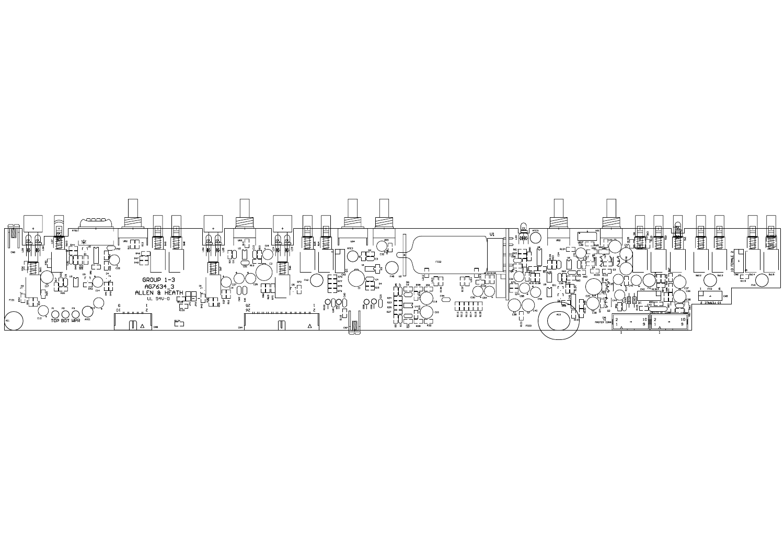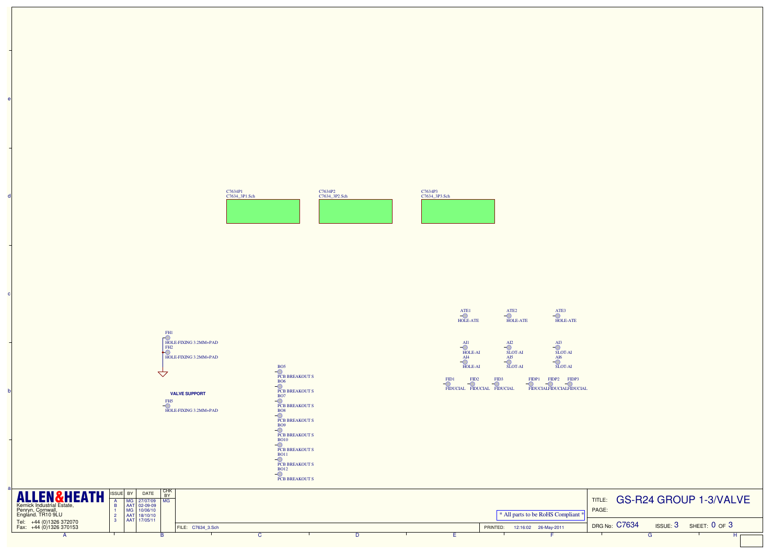

d

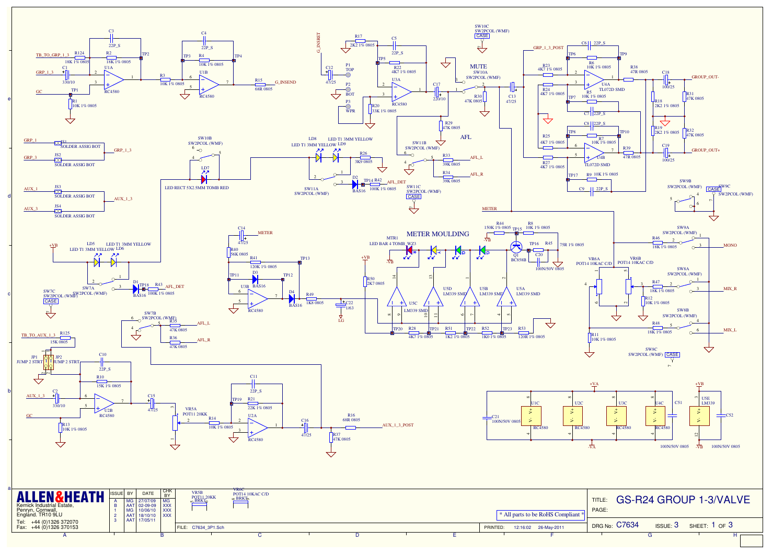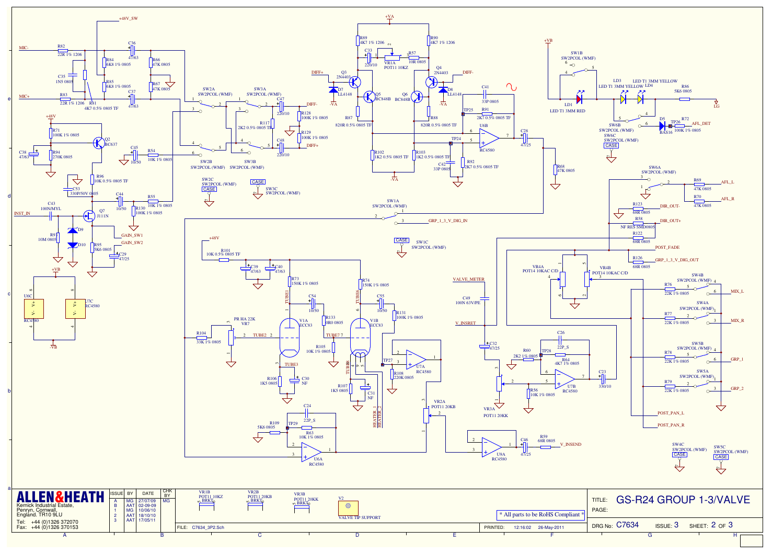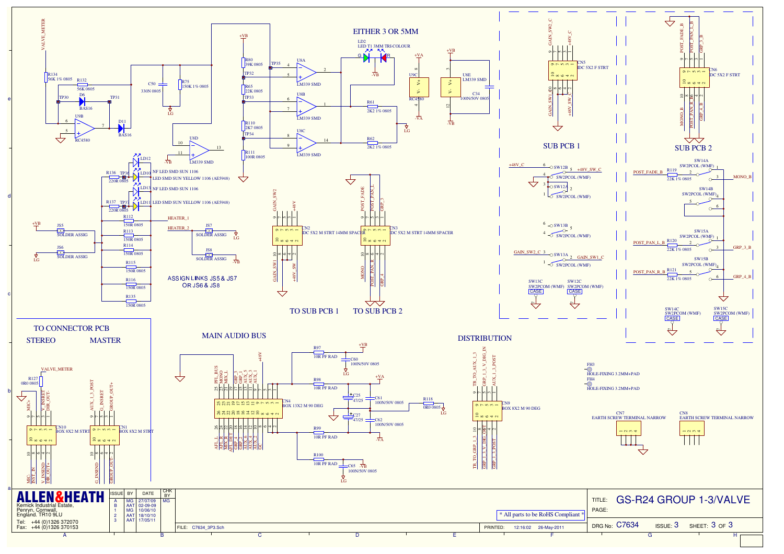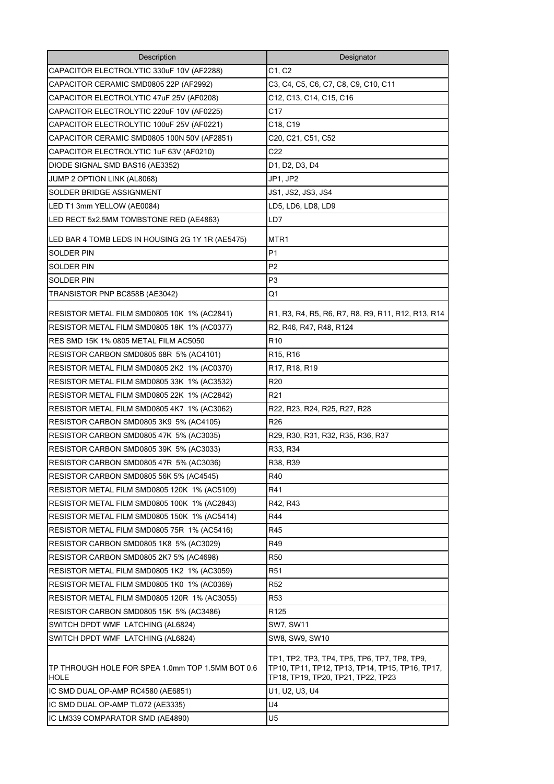| Description                                                     | Designator                                                                                                                            |
|-----------------------------------------------------------------|---------------------------------------------------------------------------------------------------------------------------------------|
| CAPACITOR ELECTROLYTIC 330uF 10V (AF2288)                       | C1, C2                                                                                                                                |
| CAPACITOR CERAMIC SMD0805 22P (AF2992)                          | C3, C4, C5, C6, C7, C8, C9, C10, C11                                                                                                  |
| CAPACITOR ELECTROLYTIC 47uF 25V (AF0208)                        | C12, C13, C14, C15, C16                                                                                                               |
| CAPACITOR ELECTROLYTIC 220uF 10V (AF0225)                       | C17                                                                                                                                   |
| CAPACITOR ELECTROLYTIC 100uF 25V (AF0221)                       | C18, C19                                                                                                                              |
| CAPACITOR CERAMIC SMD0805 100N 50V (AF2851)                     | C20, C21, C51, C52                                                                                                                    |
| CAPACITOR ELECTROLYTIC 1uF 63V (AF0210)                         | C22                                                                                                                                   |
| DIODE SIGNAL SMD BAS16 (AE3352)                                 | D1, D2, D3, D4                                                                                                                        |
| JUMP 2 OPTION LINK (AL8068)                                     | JP1, JP2                                                                                                                              |
| SOLDER BRIDGE ASSIGNMENT                                        | JS1, JS2, JS3, JS4                                                                                                                    |
| LED T1 3mm YELLOW (AE0084)                                      | LD5, LD6, LD8, LD9                                                                                                                    |
| LED RECT 5x2.5MM TOMBSTONE RED (AE4863)                         | LD7                                                                                                                                   |
| LED BAR 4 TOMB LEDS IN HOUSING 2G 1Y 1R (AE5475)                | MTR1                                                                                                                                  |
| SOLDER PIN                                                      | P1                                                                                                                                    |
| SOLDER PIN                                                      | P <sub>2</sub>                                                                                                                        |
| <b>SOLDER PIN</b>                                               | P3                                                                                                                                    |
| TRANSISTOR PNP BC858B (AE3042)                                  | Q1                                                                                                                                    |
| RESISTOR METAL FILM SMD0805 10K 1% (AC2841)                     | R1, R3, R4, R5, R6, R7, R8, R9, R11, R12, R13, R14                                                                                    |
| RESISTOR METAL FILM SMD0805 18K 1% (AC0377)                     | R2, R46, R47, R48, R124                                                                                                               |
| RES SMD 15K 1% 0805 METAL FILM AC5050                           | R <sub>10</sub>                                                                                                                       |
| RESISTOR CARBON SMD0805 68R 5% (AC4101)                         | R15, R16                                                                                                                              |
| RESISTOR METAL FILM SMD0805 2K2 1% (AC0370)                     | R17, R18, R19                                                                                                                         |
| RESISTOR METAL FILM SMD0805 33K 1% (AC3532)                     | R20                                                                                                                                   |
| RESISTOR METAL FILM SMD0805 22K 1% (AC2842)                     | R21                                                                                                                                   |
| RESISTOR METAL FILM SMD0805 4K7 1% (AC3062)                     | R22, R23, R24, R25, R27, R28                                                                                                          |
| RESISTOR CARBON SMD0805 3K9 5% (AC4105)                         | R26                                                                                                                                   |
| RESISTOR CARBON SMD0805 47K 5% (AC3035)                         | R29, R30, R31, R32, R35, R36, R37                                                                                                     |
| RESISTOR CARBON SMD0805 39K 5% (AC3033)                         | R33, R34                                                                                                                              |
| RESISTOR CARBON SMD0805 47R 5% (AC3036)                         | R38, R39                                                                                                                              |
| RESISTOR CARBON SMD0805 56K 5% (AC4545)                         | R40                                                                                                                                   |
| RESISTOR METAL FILM SMD0805 120K 1% (AC5109)                    | R41                                                                                                                                   |
| RESISTOR METAL FILM SMD0805 100K 1% (AC2843)                    | R42, R43                                                                                                                              |
| RESISTOR METAL FILM SMD0805 150K 1% (AC5414)                    | R44                                                                                                                                   |
| RESISTOR METAL FILM SMD0805 75R 1% (AC5416)                     | R45                                                                                                                                   |
| RESISTOR CARBON SMD0805 1K8 5% (AC3029)                         | R49                                                                                                                                   |
| RESISTOR CARBON SMD0805 2K7 5% (AC4698)                         | <b>R50</b>                                                                                                                            |
| RESISTOR METAL FILM SMD0805 1K2 1% (AC3059)                     | R <sub>51</sub>                                                                                                                       |
| RESISTOR METAL FILM SMD0805 1K0 1% (AC0369)                     | R <sub>52</sub>                                                                                                                       |
| RESISTOR METAL FILM SMD0805 120R 1% (AC3055)                    | R53                                                                                                                                   |
| RESISTOR CARBON SMD0805 15K 5% (AC3486)                         | R125                                                                                                                                  |
| SWITCH DPDT WMF LATCHING (AL6824)                               | <b>SW7, SW11</b>                                                                                                                      |
| SWITCH DPDT WMF LATCHING (AL6824)                               | SW8, SW9, SW10                                                                                                                        |
| TP THROUGH HOLE FOR SPEA 1.0mm TOP 1.5MM BOT 0.6<br><b>HOLE</b> | TP1, TP2, TP3, TP4, TP5, TP6, TP7, TP8, TP9,<br>TP10, TP11, TP12, TP13, TP14, TP15, TP16, TP17,<br>TP18, TP19, TP20, TP21, TP22, TP23 |
| IC SMD DUAL OP-AMP RC4580 (AE6851)                              | U1, U2, U3, U4                                                                                                                        |
| IC SMD DUAL OP-AMP TL072 (AE3335)                               | U4                                                                                                                                    |
| IC LM339 COMPARATOR SMD (AE4890)                                | U5                                                                                                                                    |